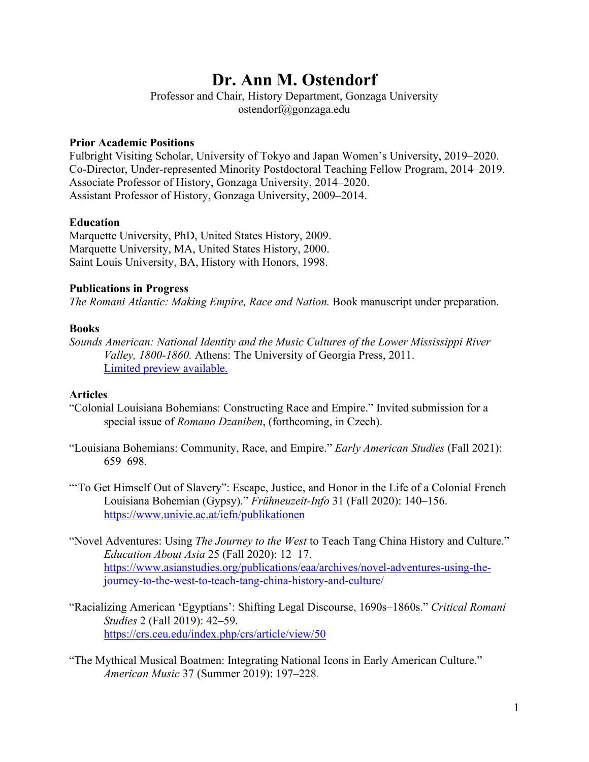# **Dr. Ann M. Ostendorf**

Professor and Chair, History Department, Gonzaga University ostendorf@gonzaga.edu

# **Prior Academic Positions**

Fulbright Visiting Scholar, University of Tokyo and Japan Women's University, 2019–2020. Co-Director, Under-represented Minority Postdoctoral Teaching Fellow Program, 2014–2019. Associate Professor of History, Gonzaga University, 2014–2020. Assistant Professor of History, Gonzaga University, 2009–2014.

# **Education**

Marquette University, PhD, United States History, 2009. Marquette University, MA, United States History, 2000. Saint Louis University, BA, History with Honors, 1998.

# **Publications in Progress**

*The Romani Atlantic: Making Empire, Race and Nation.* Book manuscript under preparation.

# **Books**

*Sounds American: National Identity and the Music Cultures of the Lower Mississippi River Valley, 1800-1860.* Athens: The University of Georgia Press, 2011. [Limited preview available.](https://www.amazon.com/Sounds-American-National-Mississippi-1800-1860/dp/0820339768)

## **Articles**

- "Colonial Louisiana Bohemians: Constructing Race and Empire." Invited submission for a special issue of *Romano Dzaniben*, (forthcoming, in Czech).
- "Louisiana Bohemians: Community, Race, and Empire." *Early American Studies* (Fall 2021): 659–698.
- "To Get Himself Out of Slavery": Escape, Justice, and Honor in the Life of a Colonial French Louisiana Bohemian (Gypsy)." *Frühneuzeit-Info* 31 (Fall 2020): 140–156. <https://www.univie.ac.at/iefn/publikationen>
- "Novel Adventures: Using *The Journey to the West* to Teach Tang China History and Culture." *Education About Asia* 25 (Fall 2020): 12–17. [https://www.asianstudies.org/publications/eaa/archives/novel-adventures-using-the](https://www.asianstudies.org/publications/eaa/archives/novel-adventures-using-the-journey-to-the-west-to-teach-tang-china-history-and-culture/)[journey-to-the-west-to-teach-tang-china-history-and-culture/](https://www.asianstudies.org/publications/eaa/archives/novel-adventures-using-the-journey-to-the-west-to-teach-tang-china-history-and-culture/)
- "Racializing American 'Egyptians': Shifting Legal Discourse, 1690s–1860s." *Critical Romani Studies* 2 (Fall 2019): 42–59. <https://crs.ceu.edu/index.php/crs/article/view/50>
- "The Mythical Musical Boatmen: Integrating National Icons in Early American Culture." *American Music* 37 (Summer 2019): 197–228*.*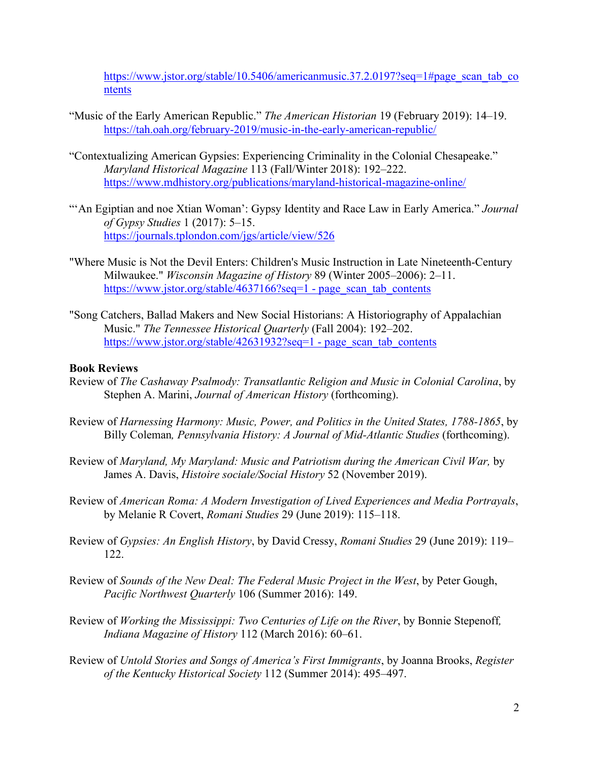https://www.jstor.org/stable/10.5406/americanmusic.37.2.0197?seq=1#page scan tab co [ntents](https://www.jstor.org/stable/10.5406/americanmusic.37.2.0197?seq=1#page_scan_tab_contents)

- "Music of the Early American Republic." *The American Historian* 19 (February 2019): 14–19. <https://tah.oah.org/february-2019/music-in-the-early-american-republic/>
- "Contextualizing American Gypsies: Experiencing Criminality in the Colonial Chesapeake." *Maryland Historical Magazine* 113 (Fall/Winter 2018): 192–222. <https://www.mdhistory.org/publications/maryland-historical-magazine-online/>
- "'An Egiptian and noe Xtian Woman': Gypsy Identity and Race Law in Early America." Journal *of Gypsy Studies* 1 (2017): 5–15. <https://journals.tplondon.com/jgs/article/view/526>
- "Where Music is Not the Devil Enters: Children's Music Instruction in Late Nineteenth-Century Milwaukee." *Wisconsin Magazine of History* 89 (Winter 2005–2006): 2–11. [https://www.jstor.org/stable/4637166?seq=1 -](https://www.jstor.org/stable/4637166?seq=1#page_scan_tab_contents) page\_scan\_tab\_contents
- "Song Catchers, Ballad Makers and New Social Historians: A Historiography of Appalachian Music." *The Tennessee Historical Quarterly* (Fall 2004): 192–202. [https://www.jstor.org/stable/42631932?seq=1 -](https://www.jstor.org/stable/42631932?seq=1#page_scan_tab_contents) page\_scan\_tab\_contents

#### **Book Reviews**

- Review of *The Cashaway Psalmody: Transatlantic Religion and Music in Colonial Carolina*, by Stephen A. Marini, *Journal of American History* (forthcoming).
- Review of *Harnessing Harmony: Music, Power, and Politics in the United States, 1788-1865*, by Billy Coleman*, Pennsylvania History: A Journal of Mid-Atlantic Studies* (forthcoming).
- Review of *Maryland, My Maryland: Music and Patriotism during the American Civil War,* by James A. Davis, *Histoire sociale/Social History* 52 (November 2019).
- Review of *American Roma: A Modern Investigation of Lived Experiences and Media Portrayals*, by Melanie R Covert, *Romani Studies* 29 (June 2019): 115–118.
- Review of *Gypsies: An English History*, by David Cressy, *Romani Studies* 29 (June 2019): 119– 122.
- Review of *Sounds of the New Deal: The Federal Music Project in the West*, by Peter Gough, *Pacific Northwest Quarterly* 106 (Summer 2016): 149.
- Review of *Working the Mississippi: Two Centuries of Life on the River*, by Bonnie Stepenoff*, Indiana Magazine of History* 112 (March 2016): 60–61.
- Review of *Untold Stories and Songs of America's First Immigrants*, by Joanna Brooks, *Register of the Kentucky Historical Society* 112 (Summer 2014): 495–497.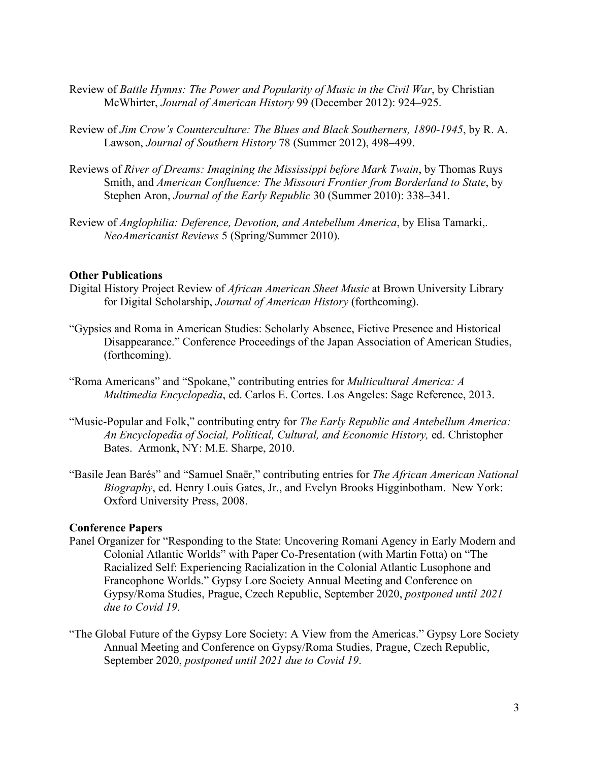- Review of *Battle Hymns: The Power and Popularity of Music in the Civil War*, by Christian McWhirter, *Journal of American History* 99 (December 2012): 924–925.
- Review of *Jim Crow's Counterculture: The Blues and Black Southerners, 1890-1945*, by R. A. Lawson, *Journal of Southern History* 78 (Summer 2012), 498–499.
- Reviews of *River of Dreams: Imagining the Mississippi before Mark Twain*, by Thomas Ruys Smith, and *American Confluence: The Missouri Frontier from Borderland to State*, by Stephen Aron, *Journal of the Early Republic* 30 (Summer 2010): 338–341.
- Review of *Anglophilia: Deference, Devotion, and Antebellum America*, by Elisa Tamarki,. *NeoAmericanist Reviews* 5 (Spring/Summer 2010).

#### **Other Publications**

- Digital History Project Review of *African American Sheet Music* at Brown University Library for Digital Scholarship, *Journal of American History* (forthcoming).
- "Gypsies and Roma in American Studies: Scholarly Absence, Fictive Presence and Historical Disappearance." Conference Proceedings of the Japan Association of American Studies, (forthcoming).
- "Roma Americans" and "Spokane," contributing entries for *Multicultural America: A Multimedia Encyclopedia*, ed. Carlos E. Cortes. Los Angeles: Sage Reference, 2013.
- "Music-Popular and Folk," contributing entry for *The Early Republic and Antebellum America: An Encyclopedia of Social, Political, Cultural, and Economic History,* ed. Christopher Bates. Armonk, NY: M.E. Sharpe, 2010.
- "Basile Jean Barés" and "Samuel Snaër," contributing entries for *The African American National Biography*, ed. Henry Louis Gates, Jr., and Evelyn Brooks Higginbotham. New York: Oxford University Press, 2008.

#### **Conference Papers**

- Panel Organizer for "Responding to the State: Uncovering Romani Agency in Early Modern and Colonial Atlantic Worlds" with Paper Co-Presentation (with Martin Fotta) on "The Racialized Self: Experiencing Racialization in the Colonial Atlantic Lusophone and Francophone Worlds." Gypsy Lore Society Annual Meeting and Conference on Gypsy/Roma Studies, Prague, Czech Republic, September 2020, *postponed until 2021 due to Covid 19*.
- "The Global Future of the Gypsy Lore Society: A View from the Americas." Gypsy Lore Society Annual Meeting and Conference on Gypsy/Roma Studies, Prague, Czech Republic, September 2020, *postponed until 2021 due to Covid 19*.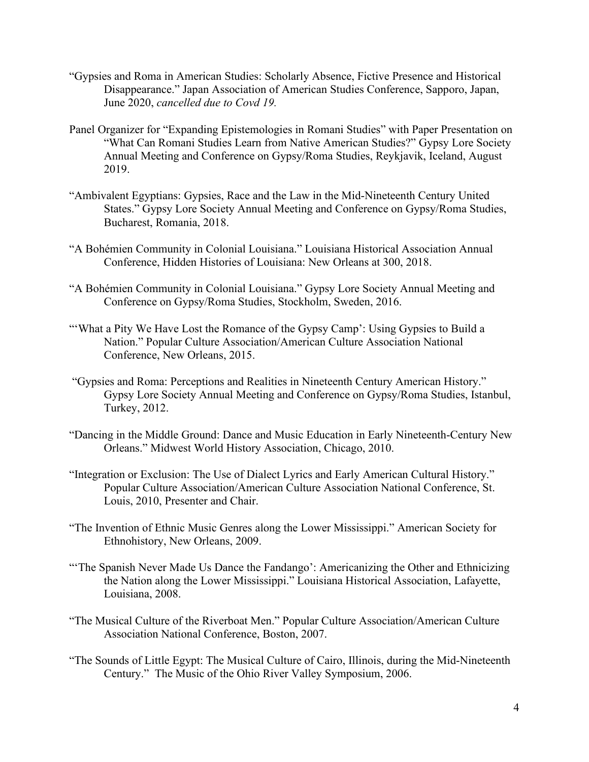- "Gypsies and Roma in American Studies: Scholarly Absence, Fictive Presence and Historical Disappearance." Japan Association of American Studies Conference, Sapporo, Japan, June 2020, *cancelled due to Covd 19.*
- Panel Organizer for "Expanding Epistemologies in Romani Studies" with Paper Presentation on "What Can Romani Studies Learn from Native American Studies?" Gypsy Lore Society Annual Meeting and Conference on Gypsy/Roma Studies, Reykjavik, Iceland, August 2019.
- "Ambivalent Egyptians: Gypsies, Race and the Law in the Mid-Nineteenth Century United States." Gypsy Lore Society Annual Meeting and Conference on Gypsy/Roma Studies, Bucharest, Romania, 2018.
- "A Bohémien Community in Colonial Louisiana." Louisiana Historical Association Annual Conference, Hidden Histories of Louisiana: New Orleans at 300, 2018.
- "A Bohémien Community in Colonial Louisiana." Gypsy Lore Society Annual Meeting and Conference on Gypsy/Roma Studies, Stockholm, Sweden, 2016.
- "'What a Pity We Have Lost the Romance of the Gypsy Camp': Using Gypsies to Build a Nation." Popular Culture Association/American Culture Association National Conference, New Orleans, 2015.
- "Gypsies and Roma: Perceptions and Realities in Nineteenth Century American History." Gypsy Lore Society Annual Meeting and Conference on Gypsy/Roma Studies, Istanbul, Turkey, 2012.
- "Dancing in the Middle Ground: Dance and Music Education in Early Nineteenth-Century New Orleans." Midwest World History Association, Chicago, 2010.
- "Integration or Exclusion: The Use of Dialect Lyrics and Early American Cultural History." Popular Culture Association/American Culture Association National Conference, St. Louis, 2010, Presenter and Chair.
- "The Invention of Ethnic Music Genres along the Lower Mississippi." American Society for Ethnohistory, New Orleans, 2009.
- "The Spanish Never Made Us Dance the Fandango': Americanizing the Other and Ethnicizing the Nation along the Lower Mississippi." Louisiana Historical Association, Lafayette, Louisiana, 2008.
- "The Musical Culture of the Riverboat Men." Popular Culture Association/American Culture Association National Conference, Boston, 2007.
- "The Sounds of Little Egypt: The Musical Culture of Cairo, Illinois, during the Mid-Nineteenth Century." The Music of the Ohio River Valley Symposium, 2006.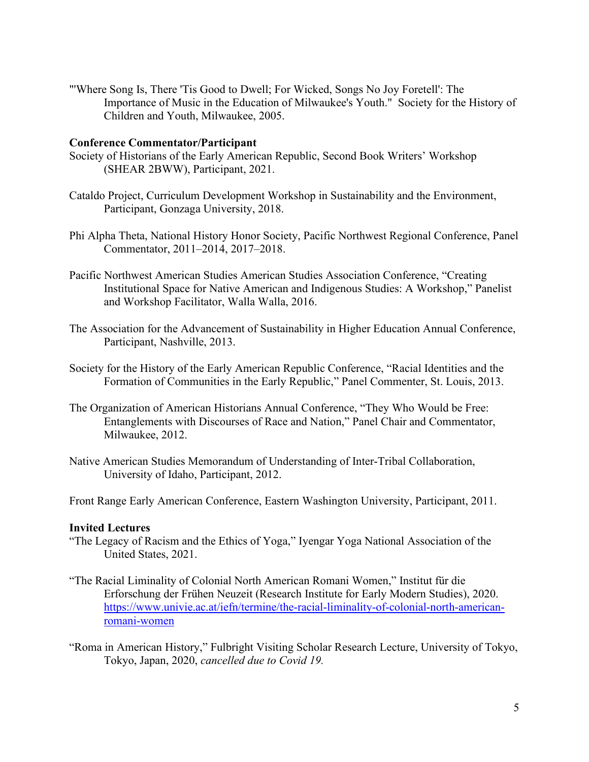"'Where Song Is, There 'Tis Good to Dwell; For Wicked, Songs No Joy Foretell': The Importance of Music in the Education of Milwaukee's Youth." Society for the History of Children and Youth, Milwaukee, 2005.

#### **Conference Commentator/Participant**

- Society of Historians of the Early American Republic, Second Book Writers' Workshop (SHEAR 2BWW), Participant, 2021.
- Cataldo Project, Curriculum Development Workshop in Sustainability and the Environment, Participant, Gonzaga University, 2018.
- Phi Alpha Theta, National History Honor Society, Pacific Northwest Regional Conference, Panel Commentator, 2011–2014, 2017–2018.
- Pacific Northwest American Studies American Studies Association Conference, "Creating Institutional Space for Native American and Indigenous Studies: A Workshop," Panelist and Workshop Facilitator, Walla Walla, 2016.
- The Association for the Advancement of Sustainability in Higher Education Annual Conference, Participant, Nashville, 2013.
- Society for the History of the Early American Republic Conference, "Racial Identities and the Formation of Communities in the Early Republic," Panel Commenter, St. Louis, 2013.
- The Organization of American Historians Annual Conference, "They Who Would be Free: Entanglements with Discourses of Race and Nation," Panel Chair and Commentator, Milwaukee, 2012.
- Native American Studies Memorandum of Understanding of Inter-Tribal Collaboration, University of Idaho, Participant, 2012.

Front Range Early American Conference, Eastern Washington University, Participant, 2011.

## **Invited Lectures**

- "The Legacy of Racism and the Ethics of Yoga," Iyengar Yoga National Association of the United States, 2021.
- "The Racial Liminality of Colonial North American Romani Women," Institut für die Erforschung der Frühen Neuzeit (Research Institute for Early Modern Studies), 2020. [https://www.univie.ac.at/iefn/termine/the-racial-liminality-of-colonial-north-american](https://www.univie.ac.at/iefn/termine/the-racial-liminality-of-colonial-north-american-romani-women)[romani-women](https://www.univie.ac.at/iefn/termine/the-racial-liminality-of-colonial-north-american-romani-women)

"Roma in American History," Fulbright Visiting Scholar Research Lecture, University of Tokyo, Tokyo, Japan, 2020, *cancelled due to Covid 19.*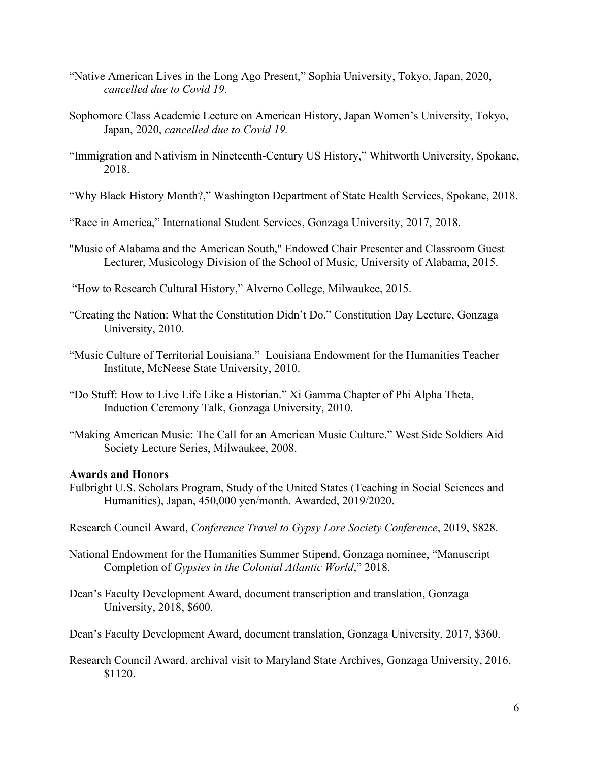- "Native American Lives in the Long Ago Present," Sophia University, Tokyo, Japan, 2020, *cancelled due to Covid 19*.
- Sophomore Class Academic Lecture on American History, Japan Women's University, Tokyo, Japan, 2020, *cancelled due to Covid 19.*
- "Immigration and Nativism in Nineteenth-Century US History," Whitworth University, Spokane, 2018.
- "Why Black History Month?," Washington Department of State Health Services, Spokane, 2018.
- "Race in America," International Student Services, Gonzaga University, 2017, 2018.
- "Music of Alabama and the American South," Endowed Chair Presenter and Classroom Guest Lecturer, Musicology Division of the School of Music, University of Alabama, 2015.
- "How to Research Cultural History," Alverno College, Milwaukee, 2015.
- "Creating the Nation: What the Constitution Didn't Do." Constitution Day Lecture, Gonzaga University, 2010.
- "Music Culture of Territorial Louisiana." Louisiana Endowment for the Humanities Teacher Institute, McNeese State University, 2010.
- "Do Stuff: How to Live Life Like a Historian." Xi Gamma Chapter of Phi Alpha Theta, Induction Ceremony Talk, Gonzaga University, 2010.
- "Making American Music: The Call for an American Music Culture." West Side Soldiers Aid Society Lecture Series, Milwaukee, 2008.

#### **Awards and Honors**

Fulbright U.S. Scholars Program, Study of the United States (Teaching in Social Sciences and Humanities), Japan, 450,000 yen/month. Awarded, 2019/2020.

Research Council Award, *Conference Travel to Gypsy Lore Society Conference*, 2019, \$828.

- National Endowment for the Humanities Summer Stipend, Gonzaga nominee, "Manuscript Completion of *Gypsies in the Colonial Atlantic World*," 2018.
- Dean's Faculty Development Award, document transcription and translation, Gonzaga University, 2018, \$600.
- Dean's Faculty Development Award, document translation, Gonzaga University, 2017, \$360.
- Research Council Award, archival visit to Maryland State Archives, Gonzaga University, 2016, \$1120.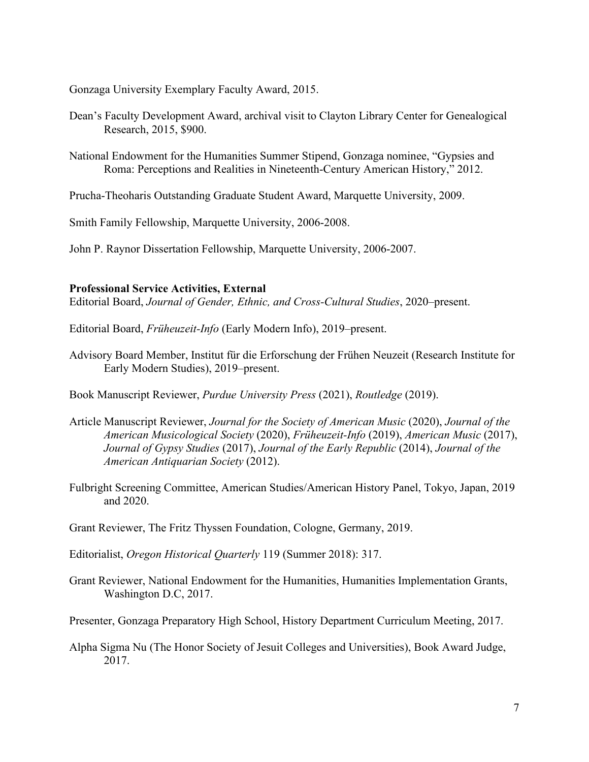Gonzaga University Exemplary Faculty Award, 2015.

- Dean's Faculty Development Award, archival visit to Clayton Library Center for Genealogical Research, 2015, \$900.
- National Endowment for the Humanities Summer Stipend, Gonzaga nominee, "Gypsies and Roma: Perceptions and Realities in Nineteenth-Century American History," 2012.
- Prucha-Theoharis Outstanding Graduate Student Award, Marquette University, 2009.

Smith Family Fellowship, Marquette University, 2006-2008.

John P. Raynor Dissertation Fellowship, Marquette University, 2006-2007.

#### **Professional Service Activities, External**

Editorial Board, *Journal of Gender, Ethnic, and Cross-Cultural Studies*, 2020–present.

Editorial Board, *Früheuzeit-Info* (Early Modern Info), 2019–present.

Advisory Board Member, Institut für die Erforschung der Frühen Neuzeit (Research Institute for Early Modern Studies), 2019–present.

Book Manuscript Reviewer, *Purdue University Press* (2021), *Routledge* (2019).

- Article Manuscript Reviewer, *Journal for the Society of American Music* (2020), *Journal of the American Musicological Society* (2020), *Früheuzeit-Info* (2019), *American Music* (2017), *Journal of Gypsy Studies* (2017), *Journal of the Early Republic* (2014), *Journal of the American Antiquarian Society* (2012).
- Fulbright Screening Committee, American Studies/American History Panel, Tokyo, Japan, 2019 and 2020.
- Grant Reviewer, The Fritz Thyssen Foundation, Cologne, Germany, 2019.

Editorialist, *Oregon Historical Quarterly* 119 (Summer 2018): 317.

Grant Reviewer, National Endowment for the Humanities, Humanities Implementation Grants, Washington D.C, 2017.

Presenter, Gonzaga Preparatory High School, History Department Curriculum Meeting, 2017.

Alpha Sigma Nu (The Honor Society of Jesuit Colleges and Universities), Book Award Judge, 2017.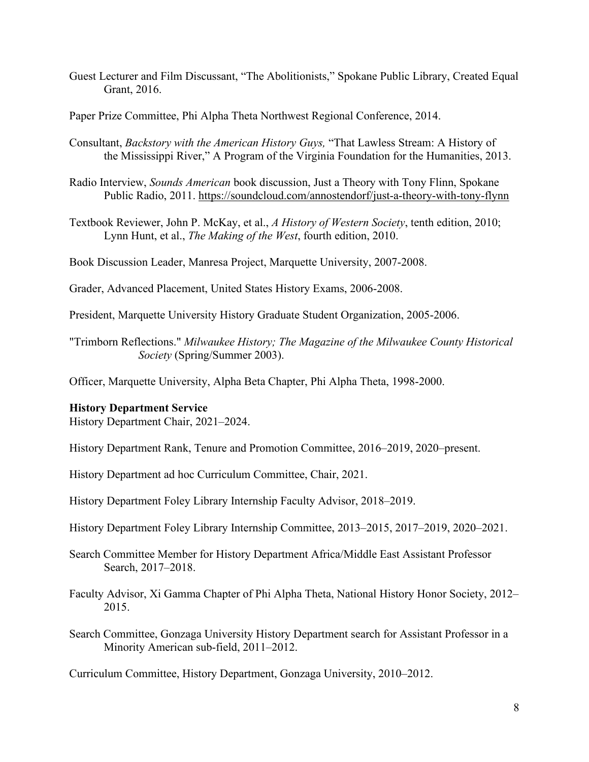- Guest Lecturer and Film Discussant, "The Abolitionists," Spokane Public Library, Created Equal Grant, 2016.
- Paper Prize Committee, Phi Alpha Theta Northwest Regional Conference, 2014.
- Consultant, *Backstory with the American History Guys,* "That Lawless Stream: A History of the Mississippi River," A Program of the Virginia Foundation for the Humanities, 2013.
- Radio Interview, *Sounds American* book discussion, Just a Theory with Tony Flinn, Spokane Public Radio, 2011.<https://soundcloud.com/annostendorf/just-a-theory-with-tony-flynn>
- Textbook Reviewer, John P. McKay, et al., *A History of Western Society*, tenth edition, 2010; Lynn Hunt, et al., *The Making of the West*, fourth edition, 2010.
- Book Discussion Leader, Manresa Project, Marquette University, 2007-2008.

Grader, Advanced Placement, United States History Exams, 2006-2008.

President, Marquette University History Graduate Student Organization, 2005-2006.

"Trimborn Reflections." *Milwaukee History; The Magazine of the Milwaukee County Historical Society* (Spring/Summer 2003).

Officer, Marquette University, Alpha Beta Chapter, Phi Alpha Theta, 1998-2000.

#### **History Department Service**

History Department Chair, 2021–2024.

History Department Rank, Tenure and Promotion Committee, 2016–2019, 2020–present.

History Department ad hoc Curriculum Committee, Chair, 2021.

History Department Foley Library Internship Faculty Advisor, 2018–2019.

- History Department Foley Library Internship Committee, 2013–2015, 2017–2019, 2020–2021.
- Search Committee Member for History Department Africa/Middle East Assistant Professor Search, 2017–2018.

Faculty Advisor, Xi Gamma Chapter of Phi Alpha Theta, National History Honor Society, 2012– 2015.

Search Committee, Gonzaga University History Department search for Assistant Professor in a Minority American sub-field, 2011–2012.

Curriculum Committee, History Department, Gonzaga University, 2010–2012.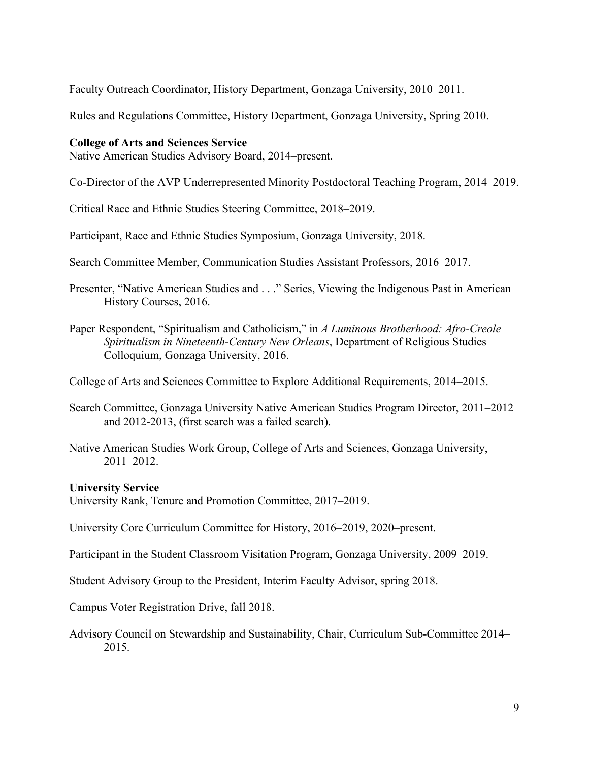Faculty Outreach Coordinator, History Department, Gonzaga University, 2010–2011.

Rules and Regulations Committee, History Department, Gonzaga University, Spring 2010.

#### **College of Arts and Sciences Service**

Native American Studies Advisory Board, 2014–present.

Co-Director of the AVP Underrepresented Minority Postdoctoral Teaching Program, 2014–2019.

Critical Race and Ethnic Studies Steering Committee, 2018–2019.

Participant, Race and Ethnic Studies Symposium, Gonzaga University, 2018.

Search Committee Member, Communication Studies Assistant Professors, 2016–2017.

Presenter, "Native American Studies and . . ." Series, Viewing the Indigenous Past in American History Courses, 2016.

Paper Respondent, "Spiritualism and Catholicism," in *A Luminous Brotherhood: Afro-Creole Spiritualism in Nineteenth-Century New Orleans*, Department of Religious Studies Colloquium, Gonzaga University, 2016.

College of Arts and Sciences Committee to Explore Additional Requirements, 2014–2015.

- Search Committee, Gonzaga University Native American Studies Program Director, 2011–2012 and 2012-2013, (first search was a failed search).
- Native American Studies Work Group, College of Arts and Sciences, Gonzaga University, 2011–2012.

## **University Service**

University Rank, Tenure and Promotion Committee, 2017–2019.

University Core Curriculum Committee for History, 2016–2019, 2020–present.

Participant in the Student Classroom Visitation Program, Gonzaga University, 2009–2019.

Student Advisory Group to the President, Interim Faculty Advisor, spring 2018.

Campus Voter Registration Drive, fall 2018.

Advisory Council on Stewardship and Sustainability, Chair, Curriculum Sub-Committee 2014– 2015.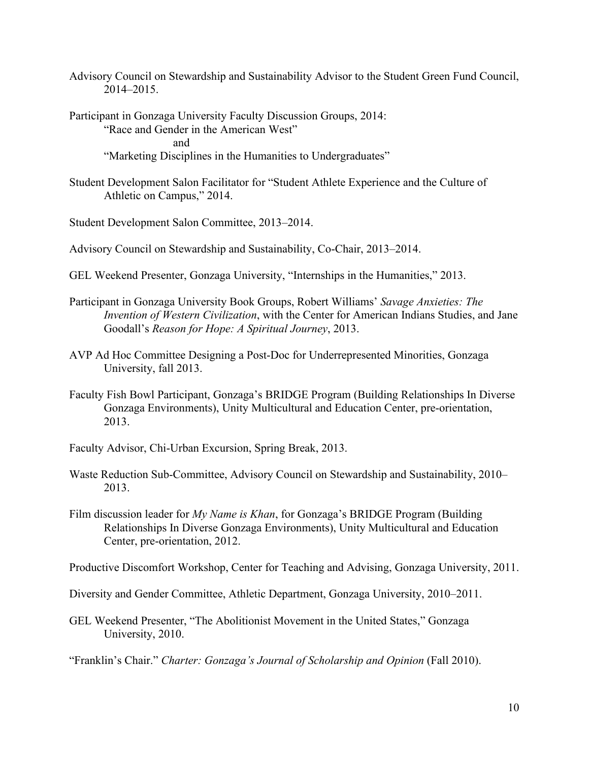- Advisory Council on Stewardship and Sustainability Advisor to the Student Green Fund Council, 2014–2015.
- Participant in Gonzaga University Faculty Discussion Groups, 2014: "Race and Gender in the American West" and "Marketing Disciplines in the Humanities to Undergraduates"
- Student Development Salon Facilitator for "Student Athlete Experience and the Culture of Athletic on Campus," 2014.
- Student Development Salon Committee, 2013–2014.
- Advisory Council on Stewardship and Sustainability, Co-Chair, 2013–2014.
- GEL Weekend Presenter, Gonzaga University, "Internships in the Humanities," 2013.
- Participant in Gonzaga University Book Groups, Robert Williams' *Savage Anxieties: The Invention of Western Civilization*, with the Center for American Indians Studies, and Jane Goodall's *Reason for Hope: A Spiritual Journey*, 2013.
- AVP Ad Hoc Committee Designing a Post-Doc for Underrepresented Minorities, Gonzaga University, fall 2013.
- Faculty Fish Bowl Participant, Gonzaga's BRIDGE Program (Building Relationships In Diverse Gonzaga Environments), Unity Multicultural and Education Center, pre-orientation, 2013.
- Faculty Advisor, Chi-Urban Excursion, Spring Break, 2013.
- Waste Reduction Sub-Committee, Advisory Council on Stewardship and Sustainability, 2010– 2013.
- Film discussion leader for *My Name is Khan*, for Gonzaga's BRIDGE Program (Building Relationships In Diverse Gonzaga Environments), Unity Multicultural and Education Center, pre-orientation, 2012.

Productive Discomfort Workshop, Center for Teaching and Advising, Gonzaga University, 2011.

Diversity and Gender Committee, Athletic Department, Gonzaga University, 2010–2011.

- GEL Weekend Presenter, "The Abolitionist Movement in the United States," Gonzaga University, 2010.
- "Franklin's Chair." *Charter: Gonzaga's Journal of Scholarship and Opinion* (Fall 2010).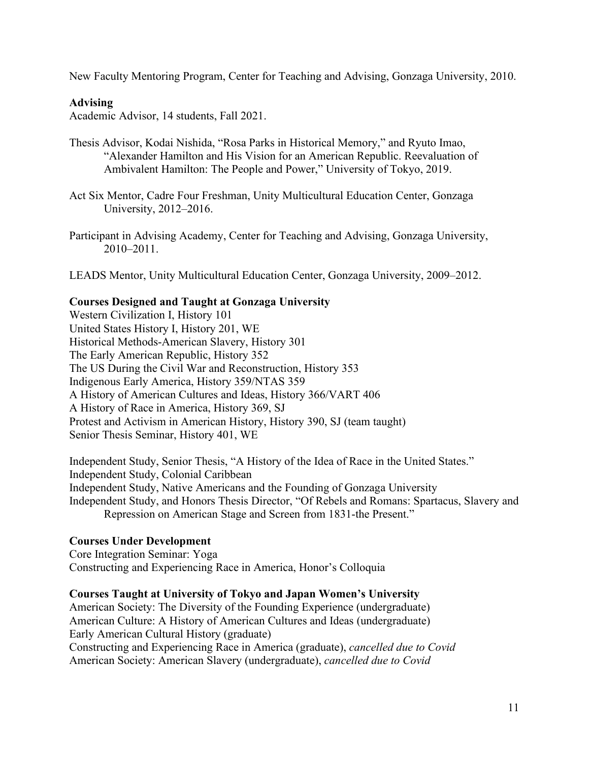New Faculty Mentoring Program, Center for Teaching and Advising, Gonzaga University, 2010.

# **Advising**

Academic Advisor, 14 students, Fall 2021.

- Thesis Advisor, Kodai Nishida, "Rosa Parks in Historical Memory," and Ryuto Imao, "Alexander Hamilton and His Vision for an American Republic. Reevaluation of Ambivalent Hamilton: The People and Power," University of Tokyo, 2019.
- Act Six Mentor, Cadre Four Freshman, Unity Multicultural Education Center, Gonzaga University, 2012–2016.
- Participant in Advising Academy, Center for Teaching and Advising, Gonzaga University, 2010–2011.

LEADS Mentor, Unity Multicultural Education Center, Gonzaga University, 2009–2012.

# **Courses Designed and Taught at Gonzaga University**

Western Civilization I, History 101 United States History I, History 201, WE Historical Methods-American Slavery, History 301 The Early American Republic, History 352 The US During the Civil War and Reconstruction, History 353 Indigenous Early America, History 359/NTAS 359 A History of American Cultures and Ideas, History 366/VART 406 A History of Race in America, History 369, SJ Protest and Activism in American History, History 390, SJ (team taught) Senior Thesis Seminar, History 401, WE

Independent Study, Senior Thesis, "A History of the Idea of Race in the United States." Independent Study, Colonial Caribbean Independent Study, Native Americans and the Founding of Gonzaga University Independent Study, and Honors Thesis Director, "Of Rebels and Romans: Spartacus, Slavery and Repression on American Stage and Screen from 1831-the Present."

# **Courses Under Development**

Core Integration Seminar: Yoga Constructing and Experiencing Race in America, Honor's Colloquia

# **Courses Taught at University of Tokyo and Japan Women's University**

American Society: The Diversity of the Founding Experience (undergraduate) American Culture: A History of American Cultures and Ideas (undergraduate) Early American Cultural History (graduate) Constructing and Experiencing Race in America (graduate), *cancelled due to Covid* American Society: American Slavery (undergraduate), *cancelled due to Covid*